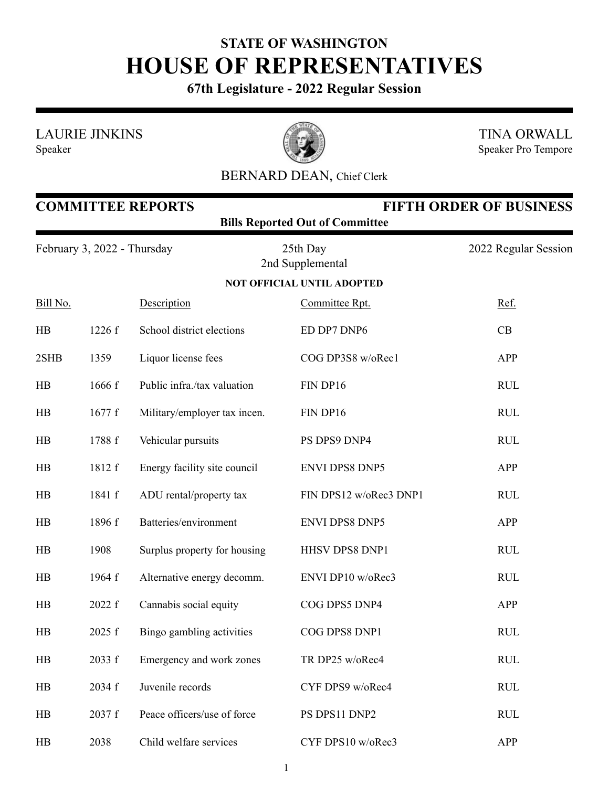## **STATE OF WASHINGTON HOUSE OF REPRESENTATIVES**

**67th Legislature - 2022 Regular Session**

LAURIE JINKINS





TINA ORWALL Speaker Pro Tempore

## BERNARD DEAN, Chief Clerk

| <b>COMMITTEE REPORTS</b><br><b>FIFTH ORDER OF BUSINESS</b><br><b>Bills Reported Out of Committee</b> |                             |                              |                                   |                      |  |  |  |
|------------------------------------------------------------------------------------------------------|-----------------------------|------------------------------|-----------------------------------|----------------------|--|--|--|
|                                                                                                      | February 3, 2022 - Thursday |                              | 25th Day<br>2nd Supplemental      | 2022 Regular Session |  |  |  |
|                                                                                                      |                             |                              | <b>NOT OFFICIAL UNTIL ADOPTED</b> |                      |  |  |  |
| Bill No.                                                                                             |                             | Description                  | Committee Rpt.                    | Ref.                 |  |  |  |
| HB                                                                                                   | 1226 f                      | School district elections    | ED DP7 DNP6                       | CB                   |  |  |  |
| 2SHB                                                                                                 | 1359                        | Liquor license fees          | COG DP3S8 w/oRec1                 | <b>APP</b>           |  |  |  |
| HB                                                                                                   | 1666 f                      | Public infra./tax valuation  | FIN DP16                          | <b>RUL</b>           |  |  |  |
| HB                                                                                                   | 1677f                       | Military/employer tax incen. | FIN DP16                          | <b>RUL</b>           |  |  |  |
| HB                                                                                                   | 1788 f                      | Vehicular pursuits           | PS DPS9 DNP4                      | <b>RUL</b>           |  |  |  |
| HB                                                                                                   | 1812 f                      | Energy facility site council | <b>ENVI DPS8 DNP5</b>             | <b>APP</b>           |  |  |  |
| HB                                                                                                   | 1841 f                      | ADU rental/property tax      | FIN DPS12 w/oRec3 DNP1            | <b>RUL</b>           |  |  |  |
| HB                                                                                                   | 1896 f                      | Batteries/environment        | <b>ENVI DPS8 DNP5</b>             | <b>APP</b>           |  |  |  |
| HB                                                                                                   | 1908                        | Surplus property for housing | HHSV DPS8 DNP1                    | <b>RUL</b>           |  |  |  |
| HB                                                                                                   | 1964 f                      | Alternative energy decomm.   | ENVI DP10 w/oRec3                 | <b>RUL</b>           |  |  |  |
| HB                                                                                                   | 2022 f                      | Cannabis social equity       | COG DPS5 DNP4                     | APP                  |  |  |  |
| HB                                                                                                   | 2025 f                      | Bingo gambling activities    | COG DPS8 DNP1                     | <b>RUL</b>           |  |  |  |
| HB                                                                                                   | 2033 f                      | Emergency and work zones     | TR DP25 w/oRec4                   | <b>RUL</b>           |  |  |  |
| HB                                                                                                   | 2034 f                      | Juvenile records             | CYF DPS9 w/oRec4                  | <b>RUL</b>           |  |  |  |
| HB                                                                                                   | 2037 f                      | Peace officers/use of force  | PS DPS11 DNP2                     | <b>RUL</b>           |  |  |  |
| HB                                                                                                   | 2038                        | Child welfare services       | CYF DPS10 w/oRec3                 | APP                  |  |  |  |

1